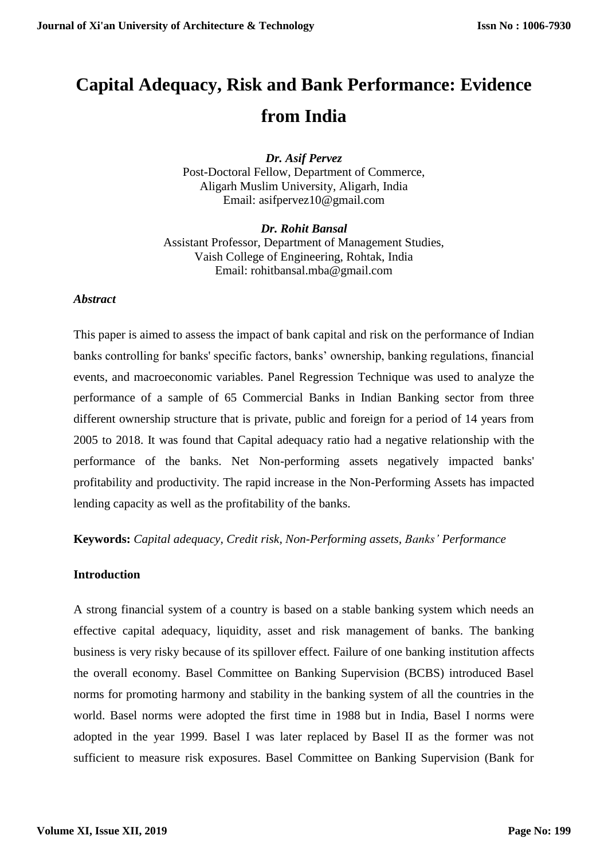# **Capital Adequacy, Risk and Bank Performance: Evidence from India**

*Dr. Asif Pervez* Post-Doctoral Fellow, Department of Commerce, Aligarh Muslim University, Aligarh, India Email: [asifpervez10@gmail.com](mailto:asifpervez10@gmail.com)

*Dr. Rohit Bansal* Assistant Professor, Department of Management Studies, Vaish College of Engineering, Rohtak, India Email: rohitbansal.mba@gmail.com

# *Abstract*

This paper is aimed to assess the impact of bank capital and risk on the performance of Indian banks controlling for banks' specific factors, banks' ownership, banking regulations, financial events, and macroeconomic variables. Panel Regression Technique was used to analyze the performance of a sample of 65 Commercial Banks in Indian Banking sector from three different ownership structure that is private, public and foreign for a period of 14 years from 2005 to 2018. It was found that Capital adequacy ratio had a negative relationship with the performance of the banks. Net Non-performing assets negatively impacted banks' profitability and productivity. The rapid increase in the Non-Performing Assets has impacted lending capacity as well as the profitability of the banks.

**Keywords:** *Capital adequacy, Credit risk, Non-Performing assets, Banks' Performance*

# **Introduction**

A strong financial system of a country is based on a stable banking system which needs an effective capital adequacy, liquidity, asset and risk management of banks. The banking business is very risky because of its spillover effect. Failure of one banking institution affects the overall economy. Basel Committee on Banking Supervision (BCBS) introduced Basel norms for promoting harmony and stability in the banking system of all the countries in the world. Basel norms were adopted the first time in 1988 but in India, Basel I norms were adopted in the year 1999. Basel I was later replaced by Basel II as the former was not sufficient to measure risk exposures. Basel Committee on Banking Supervision (Bank for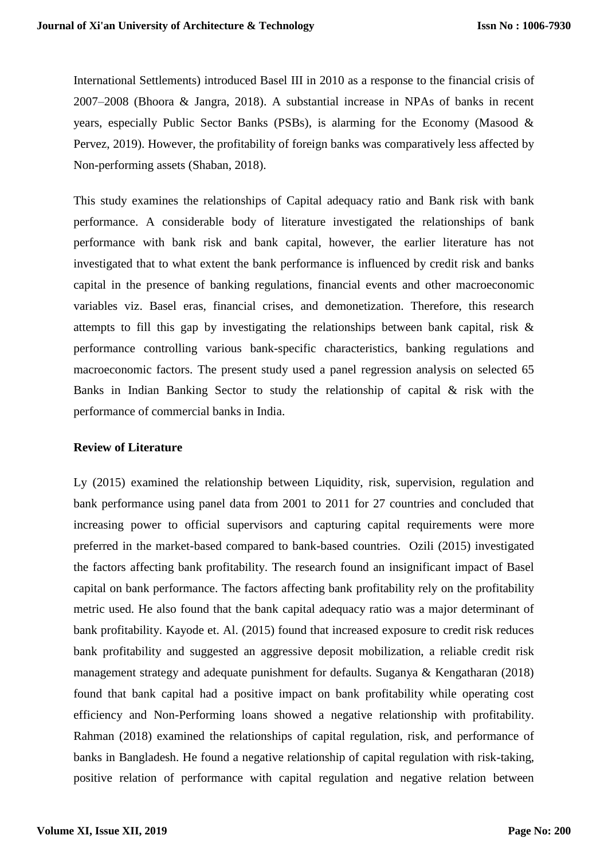International Settlements) introduced Basel III in 2010 as a response to the financial crisis of 2007–2008 (Bhoora & Jangra, 2018). A substantial increase in NPAs of banks in recent years, especially Public Sector Banks (PSBs), is alarming for the Economy (Masood & Pervez, 2019). However, the profitability of foreign banks was comparatively less affected by Non-performing assets (Shaban, 2018).

This study examines the relationships of Capital adequacy ratio and Bank risk with bank performance. A considerable body of literature investigated the relationships of bank performance with bank risk and bank capital, however, the earlier literature has not investigated that to what extent the bank performance is influenced by credit risk and banks capital in the presence of banking regulations, financial events and other macroeconomic variables viz. Basel eras, financial crises, and demonetization. Therefore, this research attempts to fill this gap by investigating the relationships between bank capital, risk & performance controlling various bank-specific characteristics, banking regulations and macroeconomic factors. The present study used a panel regression analysis on selected 65 Banks in Indian Banking Sector to study the relationship of capital & risk with the performance of commercial banks in India.

#### **Review of Literature**

Ly (2015) examined the relationship between Liquidity, risk, supervision, regulation and bank performance using panel data from 2001 to 2011 for 27 countries and concluded that increasing power to official supervisors and capturing capital requirements were more preferred in the market-based compared to bank-based countries. Ozili (2015) investigated the factors affecting bank profitability. The research found an insignificant impact of Basel capital on bank performance. The factors affecting bank profitability rely on the profitability metric used. He also found that the bank capital adequacy ratio was a major determinant of bank profitability. Kayode et. Al. (2015) found that increased exposure to credit risk reduces bank profitability and suggested an aggressive deposit mobilization, a reliable credit risk management strategy and adequate punishment for defaults. Suganya & Kengatharan (2018) found that bank capital had a positive impact on bank profitability while operating cost efficiency and Non-Performing loans showed a negative relationship with profitability. Rahman (2018) examined the relationships of capital regulation, risk, and performance of banks in Bangladesh. He found a negative relationship of capital regulation with risk-taking, positive relation of performance with capital regulation and negative relation between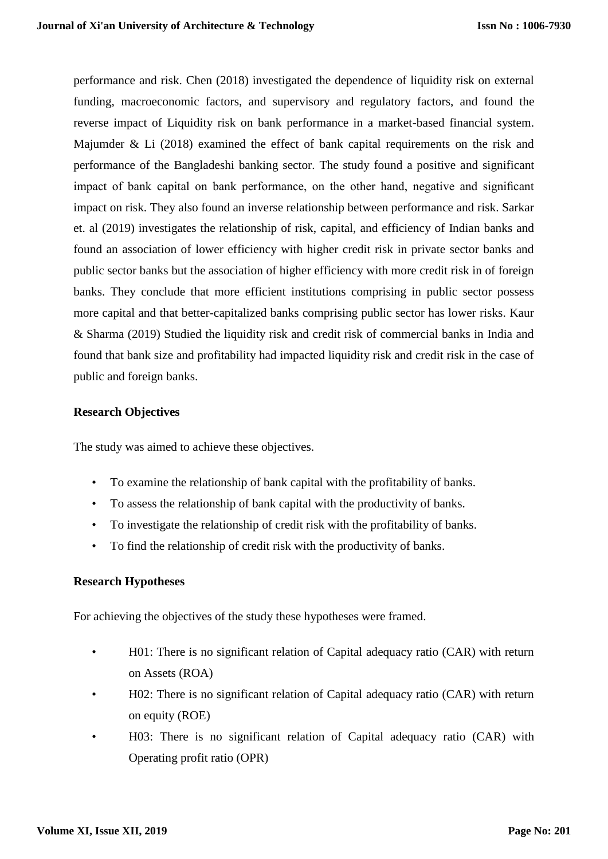performance and risk. Chen (2018) investigated the dependence of liquidity risk on external funding, macroeconomic factors, and supervisory and regulatory factors, and found the reverse impact of Liquidity risk on bank performance in a market-based financial system. Majumder & Li (2018) examined the effect of bank capital requirements on the risk and performance of the Bangladeshi banking sector. The study found a positive and significant impact of bank capital on bank performance, on the other hand, negative and significant impact on risk. They also found an inverse relationship between performance and risk. Sarkar et. al (2019) investigates the relationship of risk, capital, and efficiency of Indian banks and found an association of lower efficiency with higher credit risk in private sector banks and public sector banks but the association of higher efficiency with more credit risk in of foreign banks. They conclude that more efficient institutions comprising in public sector possess more capital and that better-capitalized banks comprising public sector has lower risks. Kaur & Sharma (2019) Studied the liquidity risk and credit risk of commercial banks in India and found that bank size and profitability had impacted liquidity risk and credit risk in the case of public and foreign banks.

# **Research Objectives**

The study was aimed to achieve these objectives.

- To examine the relationship of bank capital with the profitability of banks.
- To assess the relationship of bank capital with the productivity of banks.
- To investigate the relationship of credit risk with the profitability of banks.
- To find the relationship of credit risk with the productivity of banks.

#### **Research Hypotheses**

For achieving the objectives of the study these hypotheses were framed.

- H01: There is no significant relation of Capital adequacy ratio (CAR) with return on Assets (ROA)
- H02: There is no significant relation of Capital adequacy ratio (CAR) with return on equity (ROE)
- H03: There is no significant relation of Capital adequacy ratio (CAR) with Operating profit ratio (OPR)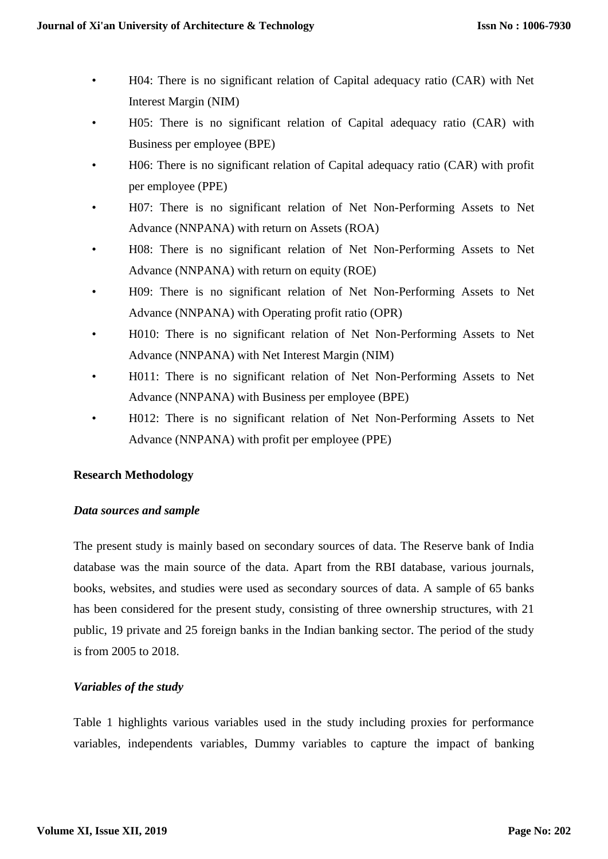- H04: There is no significant relation of Capital adequacy ratio (CAR) with Net Interest Margin (NIM)
- H05: There is no significant relation of Capital adequacy ratio (CAR) with Business per employee (BPE)
- H06: There is no significant relation of Capital adequacy ratio (CAR) with profit per employee (PPE)
- H07: There is no significant relation of Net Non-Performing Assets to Net Advance (NNPANA) with return on Assets (ROA)
- H08: There is no significant relation of Net Non-Performing Assets to Net Advance (NNPANA) with return on equity (ROE)
- H09: There is no significant relation of Net Non-Performing Assets to Net Advance (NNPANA) with Operating profit ratio (OPR)
- H010: There is no significant relation of Net Non-Performing Assets to Net Advance (NNPANA) with Net Interest Margin (NIM)
- H011: There is no significant relation of Net Non-Performing Assets to Net Advance (NNPANA) with Business per employee (BPE)
- H012: There is no significant relation of Net Non-Performing Assets to Net Advance (NNPANA) with profit per employee (PPE)

# **Research Methodology**

# *Data sources and sample*

The present study is mainly based on secondary sources of data. The Reserve bank of India database was the main source of the data. Apart from the RBI database, various journals, books, websites, and studies were used as secondary sources of data. A sample of 65 banks has been considered for the present study, consisting of three ownership structures, with 21 public, 19 private and 25 foreign banks in the Indian banking sector. The period of the study is from 2005 to 2018.

# *Variables of the study*

Table 1 highlights various variables used in the study including proxies for performance variables, independents variables, Dummy variables to capture the impact of banking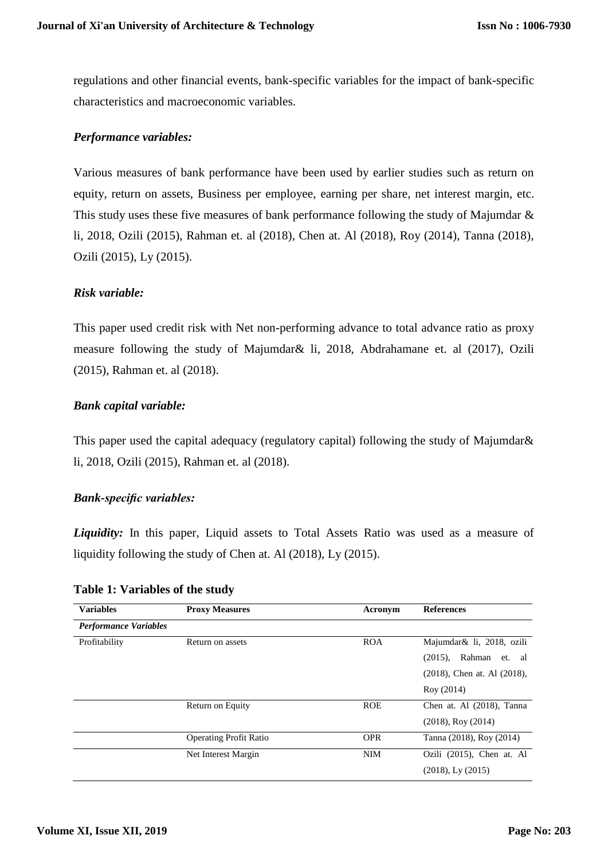regulations and other financial events, bank-specific variables for the impact of bank-specific characteristics and macroeconomic variables.

# *Performance variables:*

Various measures of bank performance have been used by earlier studies such as return on equity, return on assets, Business per employee, earning per share, net interest margin, etc. This study uses these five measures of bank performance following the study of Majumdar & li, 2018, Ozili (2015), Rahman et. al (2018), Chen at. Al (2018), Roy (2014), Tanna (2018), Ozili (2015), Ly (2015).

#### *Risk variable:*

This paper used credit risk with Net non-performing advance to total advance ratio as proxy measure following the study of Majumdar& li, 2018, Abdrahamane et. al (2017), Ozili (2015), Rahman et. al (2018).

#### *Bank capital variable:*

This paper used the capital adequacy (regulatory capital) following the study of Majumdar& li, 2018, Ozili (2015), Rahman et. al (2018).

#### *Bank-specific variables:*

*Liquidity:* In this paper, Liquid assets to Total Assets Ratio was used as a measure of liquidity following the study of Chen at. Al (2018), Ly (2015).

| <b>Variables</b>             | <b>Proxy Measures</b>         | Acronym    | <b>References</b>                                                                                     |
|------------------------------|-------------------------------|------------|-------------------------------------------------------------------------------------------------------|
| <b>Performance Variables</b> |                               |            |                                                                                                       |
| Profitability                | Return on assets              | <b>ROA</b> | Majumdar& li, 2018, ozili<br>$(2015)$ ,<br>Rahman et. al<br>(2018), Chen at. Al (2018),<br>Roy (2014) |
|                              | Return on Equity              | <b>ROE</b> | Chen at. Al (2018), Tanna<br>$(2018)$ , Roy $(2014)$                                                  |
|                              | <b>Operating Profit Ratio</b> | <b>OPR</b> | Tanna (2018), Roy (2014)                                                                              |
|                              | Net Interest Margin           | <b>NIM</b> | Ozili (2015), Chen at. Al<br>$(2018)$ , Ly $(2015)$                                                   |

#### **Table 1: Variables of the study**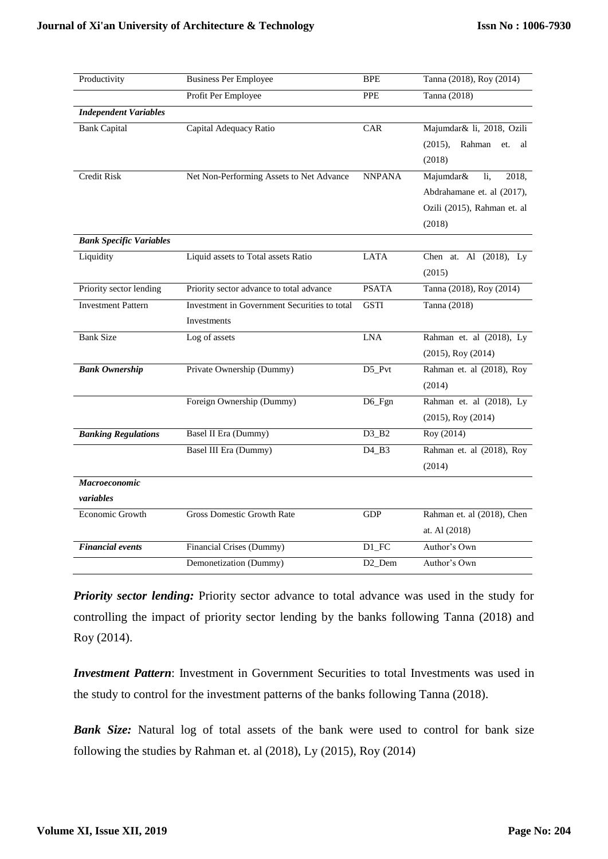| Productivity                   | <b>Business Per Employee</b>                 | <b>BPE</b>                     | Tanna (2018), Roy (2014)    |
|--------------------------------|----------------------------------------------|--------------------------------|-----------------------------|
|                                | Profit Per Employee                          | <b>PPE</b>                     | Tanna (2018)                |
| <b>Independent Variables</b>   |                                              |                                |                             |
| <b>Bank Capital</b>            | Capital Adequacy Ratio                       | CAR                            | Majumdar& li, 2018, Ozili   |
|                                |                                              |                                | (2015),<br>Rahman et.<br>al |
|                                |                                              |                                | (2018)                      |
| Credit Risk                    | Net Non-Performing Assets to Net Advance     | <b>NNPANA</b>                  | Majumdar&<br>li,<br>2018,   |
|                                |                                              |                                | Abdrahamane et. al (2017),  |
|                                |                                              |                                | Ozili (2015), Rahman et. al |
|                                |                                              |                                | (2018)                      |
| <b>Bank Specific Variables</b> |                                              |                                |                             |
| Liquidity                      | Liquid assets to Total assets Ratio          | <b>LATA</b>                    | Chen at. Al (2018), Ly      |
|                                |                                              |                                | (2015)                      |
| Priority sector lending        | Priority sector advance to total advance     | <b>PSATA</b>                   | Tanna (2018), Roy (2014)    |
| <b>Investment Pattern</b>      | Investment in Government Securities to total | <b>GSTI</b>                    | Tanna (2018)                |
|                                | Investments                                  |                                |                             |
| <b>Bank Size</b>               | Log of assets                                | <b>LNA</b>                     | Rahman et. al (2018), Ly    |
|                                |                                              |                                | $(2015)$ , Roy $(2014)$     |
| <b>Bank Ownership</b>          | Private Ownership (Dummy)                    | D5_Pvt                         | Rahman et. al (2018), Roy   |
|                                |                                              |                                | (2014)                      |
|                                | Foreign Ownership (Dummy)                    | D6_Fgn                         | Rahman et. al (2018), Ly    |
|                                |                                              |                                | $(2015)$ , Roy $(2014)$     |
| <b>Banking Regulations</b>     | <b>Basel II Era (Dummy)</b>                  | $D3$ <sub>B2</sub>             | Roy (2014)                  |
|                                | Basel III Era (Dummy)                        | D <sub>4</sub> _B <sub>3</sub> | Rahman et. al (2018), Roy   |
|                                |                                              |                                | (2014)                      |
| <b>Macroeconomic</b>           |                                              |                                |                             |
| variables                      |                                              |                                |                             |
| Economic Growth                | <b>Gross Domestic Growth Rate</b>            | <b>GDP</b>                     | Rahman et. al (2018), Chen  |
|                                |                                              |                                | at. Al (2018)               |
| <b>Financial</b> events        | Financial Crises (Dummy)                     | $D1$ <sub>_FC</sub>            | Author's Own                |
|                                | Demonetization (Dummy)                       | D <sub>2</sub> Dem             | Author's Own                |

**Priority sector lending:** Priority sector advance to total advance was used in the study for controlling the impact of priority sector lending by the banks following Tanna (2018) and Roy (2014).

*Investment Pattern*: Investment in Government Securities to total Investments was used in the study to control for the investment patterns of the banks following Tanna (2018).

**Bank Size:** Natural log of total assets of the bank were used to control for bank size following the studies by Rahman et. al (2018), Ly (2015), Roy (2014)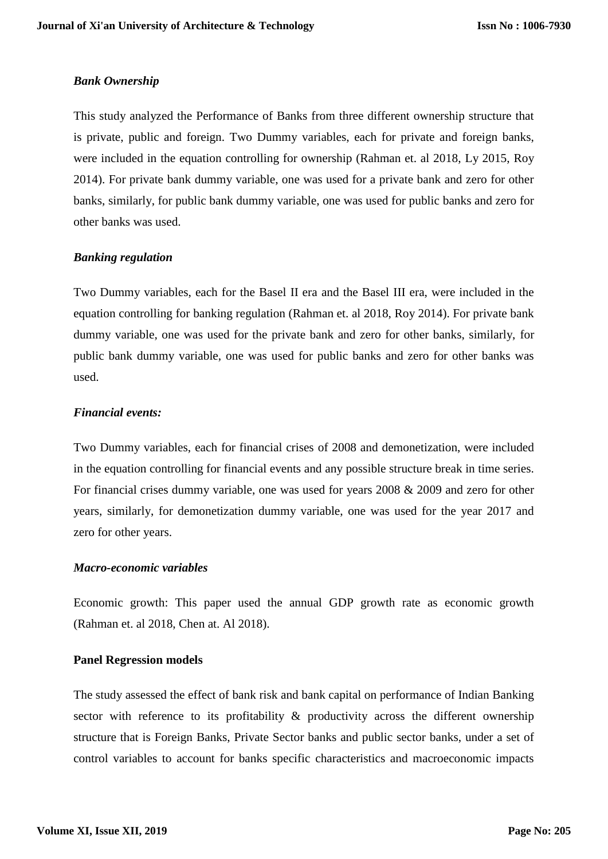#### *Bank Ownership*

This study analyzed the Performance of Banks from three different ownership structure that is private, public and foreign. Two Dummy variables, each for private and foreign banks, were included in the equation controlling for ownership (Rahman et. al 2018, Ly 2015, Roy 2014). For private bank dummy variable, one was used for a private bank and zero for other banks, similarly, for public bank dummy variable, one was used for public banks and zero for other banks was used.

#### *Banking regulation*

Two Dummy variables, each for the Basel II era and the Basel III era, were included in the equation controlling for banking regulation (Rahman et. al 2018, Roy 2014). For private bank dummy variable, one was used for the private bank and zero for other banks, similarly, for public bank dummy variable, one was used for public banks and zero for other banks was used.

#### *Financial events:*

Two Dummy variables, each for financial crises of 2008 and demonetization, were included in the equation controlling for financial events and any possible structure break in time series. For financial crises dummy variable, one was used for years 2008 & 2009 and zero for other years, similarly, for demonetization dummy variable, one was used for the year 2017 and zero for other years.

#### *Macro-economic variables*

Economic growth: This paper used the annual GDP growth rate as economic growth (Rahman et. al 2018, Chen at. Al 2018).

#### **Panel Regression models**

The study assessed the effect of bank risk and bank capital on performance of Indian Banking sector with reference to its profitability & productivity across the different ownership structure that is Foreign Banks, Private Sector banks and public sector banks, under a set of control variables to account for banks specific characteristics and macroeconomic impacts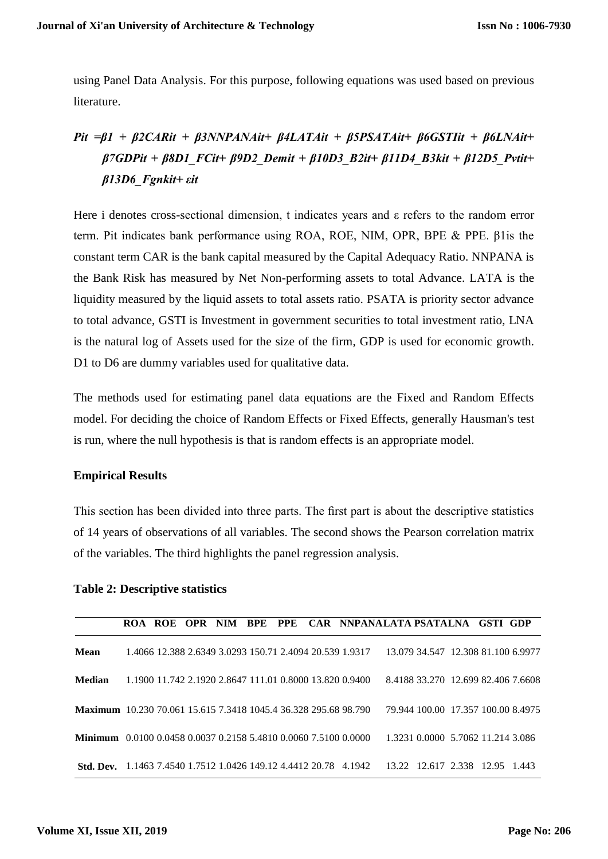using Panel Data Analysis. For this purpose, following equations was used based on previous literature.

# *Pit =β1 + β2CARit + β3NNPANAit+ β4LATAit + β5PSATAit+ β6GSTIit + β6LNAit+ β7GDPit + β8D1\_FCit+ β9D2\_Demit + β10D3\_B2it+ β11D4\_B3kit + β12D5\_Pvtit+ β13D6\_Fgnkit+ εit*

Here i denotes cross-sectional dimension, t indicates years and ε refers to the random error term. Pit indicates bank performance using ROA, ROE, NIM, OPR, BPE & PPE. β1is the constant term CAR is the bank capital measured by the Capital Adequacy Ratio. NNPANA is the Bank Risk has measured by Net Non-performing assets to total Advance. LATA is the liquidity measured by the liquid assets to total assets ratio. PSATA is priority sector advance to total advance, GSTI is Investment in government securities to total investment ratio, LNA is the natural log of Assets used for the size of the firm, GDP is used for economic growth. D1 to D6 are dummy variables used for qualitative data.

The methods used for estimating panel data equations are the Fixed and Random Effects model. For deciding the choice of Random Effects or Fixed Effects, generally Hausman's test is run, where the null hypothesis is that is random effects is an appropriate model.

# **Empirical Results**

This section has been divided into three parts. The first part is about the descriptive statistics of 14 years of observations of all variables. The second shows the Pearson correlation matrix of the variables. The third highlights the panel regression analysis.

|                                                                         |  |  |  | ROA ROE OPR NIM BPE PPE CAR NNPANALATAPSATALNA GSTI GDP |                                    |  |  |
|-------------------------------------------------------------------------|--|--|--|---------------------------------------------------------|------------------------------------|--|--|
| Mean                                                                    |  |  |  | 1.4066 12.388 2.6349 3.0293 150.71 2.4094 20.539 1.9317 | 13.079 34.547 12.308 81.100 6.9977 |  |  |
| <b>Median</b>                                                           |  |  |  | 1.1900 11.742 2.1920 2.8647 111.01 0.8000 13.820 0.9400 | 8.4188 33.270 12.699 82.406 7.6608 |  |  |
| Maximum 10.230 70.061 15.615 7.3418 1045.4 36.328 295.68 98.790         |  |  |  |                                                         | 79.944 100.00 17.357 100.00 8.4975 |  |  |
| <b>Minimum</b> 0.0100 0.0458 0.0037 0.2158 5.4810 0.0060 7.5100 0.0000  |  |  |  |                                                         | 1.3231 0.0000 5.7062 11.214 3.086  |  |  |
| <b>Std. Dev.</b> 1.1463 7.4540 1.7512 1.0426 149.12 4.4412 20.78 4.1942 |  |  |  |                                                         | 13.22 12.617 2.338 12.95 1.443     |  |  |

#### **Table 2: Descriptive statistics**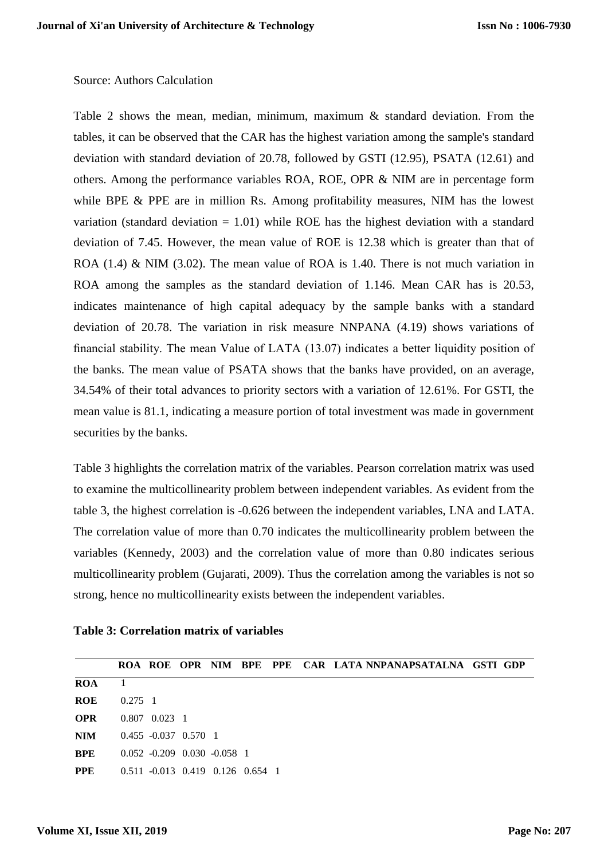#### Source: Authors Calculation

Table 2 shows the mean, median, minimum, maximum & standard deviation. From the tables, it can be observed that the CAR has the highest variation among the sample's standard deviation with standard deviation of 20.78, followed by GSTI (12.95), PSATA (12.61) and others. Among the performance variables ROA, ROE, OPR & NIM are in percentage form while BPE & PPE are in million Rs. Among profitability measures, NIM has the lowest variation (standard deviation  $= 1.01$ ) while ROE has the highest deviation with a standard deviation of 7.45. However, the mean value of ROE is 12.38 which is greater than that of ROA  $(1.4)$  & NIM  $(3.02)$ . The mean value of ROA is 1.40. There is not much variation in ROA among the samples as the standard deviation of 1.146. Mean CAR has is 20.53, indicates maintenance of high capital adequacy by the sample banks with a standard deviation of 20.78. The variation in risk measure NNPANA (4.19) shows variations of financial stability. The mean Value of LATA (13.07) indicates a better liquidity position of the banks. The mean value of PSATA shows that the banks have provided, on an average, 34.54% of their total advances to priority sectors with a variation of 12.61%. For GSTI, the mean value is 81.1, indicating a measure portion of total investment was made in government securities by the banks.

Table 3 highlights the correlation matrix of the variables. Pearson correlation matrix was used to examine the multicollinearity problem between independent variables. As evident from the table 3, the highest correlation is -0.626 between the independent variables, LNA and LATA. The correlation value of more than 0.70 indicates the multicollinearity problem between the variables (Kennedy, 2003) and the correlation value of more than 0.80 indicates serious multicollinearity problem (Gujarati, 2009). Thus the correlation among the variables is not so strong, hence no multicollinearity exists between the independent variables.

|            |                 |                           |                                           |  | ROA ROE OPR NIM BPE PPE CAR LATA NNPANAPSATALNA GSTI GDP |  |  |  |
|------------|-----------------|---------------------------|-------------------------------------------|--|----------------------------------------------------------|--|--|--|
| <b>ROA</b> |                 |                           |                                           |  |                                                          |  |  |  |
| <b>ROE</b> | $0.275 \quad 1$ |                           |                                           |  |                                                          |  |  |  |
| <b>OPR</b> |                 | $0.807$ $0.023$ 1         |                                           |  |                                                          |  |  |  |
| <b>NIM</b> |                 | $0.455 - 0.037$ $0.570$ 1 |                                           |  |                                                          |  |  |  |
| <b>BPE</b> |                 |                           | $0.052 - 0.209 - 0.030 - 0.058$ 1         |  |                                                          |  |  |  |
| <b>PPE</b> |                 |                           | $0.511 - 0.013$ $0.419$ $0.126$ $0.654$ 1 |  |                                                          |  |  |  |

**Table 3: Correlation matrix of variables**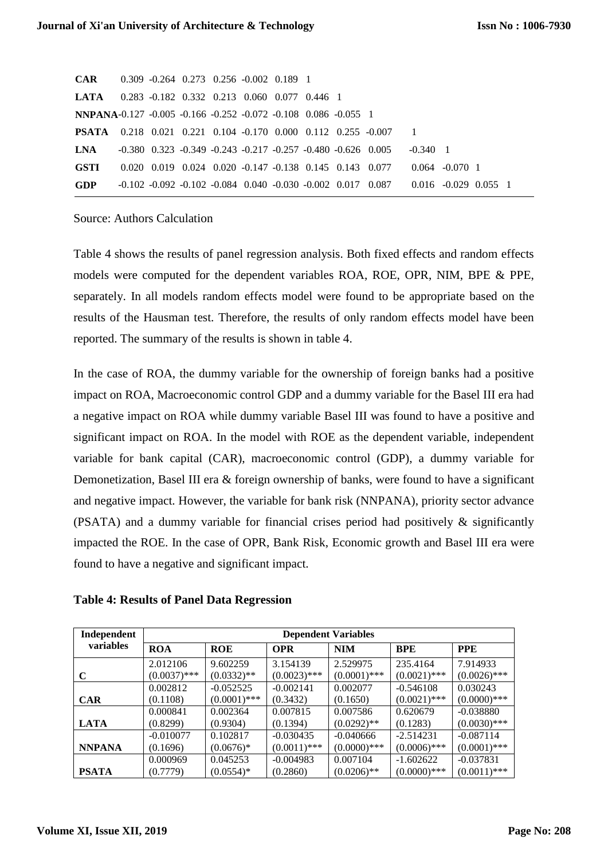| <b>CAR</b>                                                            |  | $0.309 - 0.264 - 0.273 - 0.256 - 0.002 - 0.189$ 1                              |  |  |  |                  |                         |  |
|-----------------------------------------------------------------------|--|--------------------------------------------------------------------------------|--|--|--|------------------|-------------------------|--|
| <b>LATA</b>                                                           |  | 0.283 -0.182 0.332 0.213 0.060 0.077 0.446 1                                   |  |  |  |                  |                         |  |
| <b>NNPANA-0.127 -0.005 -0.166 -0.252 -0.072 -0.108 0.086 -0.055 1</b> |  |                                                                                |  |  |  |                  |                         |  |
| <b>PSATA</b> 0.218 0.021 0.221 0.104 -0.170 0.000 0.112 0.255 -0.007  |  |                                                                                |  |  |  | $\blacksquare$   |                         |  |
| <b>LNA</b>                                                            |  | $-0.380$ $0.323$ $-0.349$ $-0.243$ $-0.217$ $-0.257$ $-0.480$ $-0.626$ $0.005$ |  |  |  | $-0.340 \quad 1$ |                         |  |
| <b>GSTI</b>                                                           |  | $0.020$ $0.019$ $0.024$ $0.020$ $0.147$ $0.138$ $0.145$ $0.143$ $0.077$        |  |  |  |                  | $0.064 - 0.070$ 1       |  |
| <b>GDP</b>                                                            |  | $-0.102 - 0.092 - 0.102 - 0.084 - 0.040 - 0.030 - 0.002 - 0.017 - 0.087$       |  |  |  |                  | $0.016 - 0.029 0.055 1$ |  |

Source: Authors Calculation

Table 4 shows the results of panel regression analysis. Both fixed effects and random effects models were computed for the dependent variables ROA, ROE, OPR, NIM, BPE & PPE, separately. In all models random effects model were found to be appropriate based on the results of the Hausman test. Therefore, the results of only random effects model have been reported. The summary of the results is shown in table 4.

In the case of ROA, the dummy variable for the ownership of foreign banks had a positive impact on ROA, Macroeconomic control GDP and a dummy variable for the Basel III era had a negative impact on ROA while dummy variable Basel III was found to have a positive and significant impact on ROA. In the model with ROE as the dependent variable, independent variable for bank capital (CAR), macroeconomic control (GDP), a dummy variable for Demonetization, Basel III era & foreign ownership of banks, were found to have a significant and negative impact. However, the variable for bank risk (NNPANA), priority sector advance (PSATA) and a dummy variable for financial crises period had positively & significantly impacted the ROE. In the case of OPR, Bank Risk, Economic growth and Basel III era were found to have a negative and significant impact.

| Independent   | <b>Dependent Variables</b> |                |                |                |                |                |  |  |  |
|---------------|----------------------------|----------------|----------------|----------------|----------------|----------------|--|--|--|
| variables     | <b>ROA</b>                 | <b>ROE</b>     | <b>OPR</b>     | <b>NIM</b>     | <b>BPE</b>     | <b>PPE</b>     |  |  |  |
|               | 2.012106                   | 9.602259       | 3.154139       | 2.529975       | 235.4164       | 7.914933       |  |  |  |
| $\mathbf C$   | $(0.0037)$ ***             | $(0.0332)$ **  | $(0.0023)$ *** | $(0.0001)$ *** | $(0.0021)$ *** | $(0.0026)$ *** |  |  |  |
|               | 0.002812                   | $-0.052525$    | $-0.002141$    | 0.002077       | $-0.546108$    | 0.030243       |  |  |  |
| <b>CAR</b>    | (0.1108)                   | $(0.0001)$ *** | (0.3432)       | (0.1650)       | $(0.0021)$ *** | $(0.0000)$ *** |  |  |  |
|               | 0.000841                   | 0.002364       | 0.007815       | 0.007586       | 0.620679       | $-0.038880$    |  |  |  |
| <b>LATA</b>   | (0.8299)                   | (0.9304)       | (0.1394)       | $(0.0292)$ **  | (0.1283)       | $(0.0030)$ *** |  |  |  |
|               | $-0.010077$                | 0.102817       | $-0.030435$    | $-0.040666$    | $-2.514231$    | $-0.087114$    |  |  |  |
| <b>NNPANA</b> | (0.1696)                   | $(0.0676)*$    | $(0.0011)$ *** | $(0.0000)$ *** | $(0.0006)$ *** | $(0.0001)$ *** |  |  |  |
|               | 0.000969                   | 0.045253       | $-0.004983$    | 0.007104       | $-1.602622$    | $-0.037831$    |  |  |  |
| <b>PSATA</b>  | (0.7779)                   | $(0.0554)*$    | (0.2860)       | $(0.0206)$ **  | $(0.0000)$ *** | $(0.0011)$ *** |  |  |  |

#### **Table 4: Results of Panel Data Regression**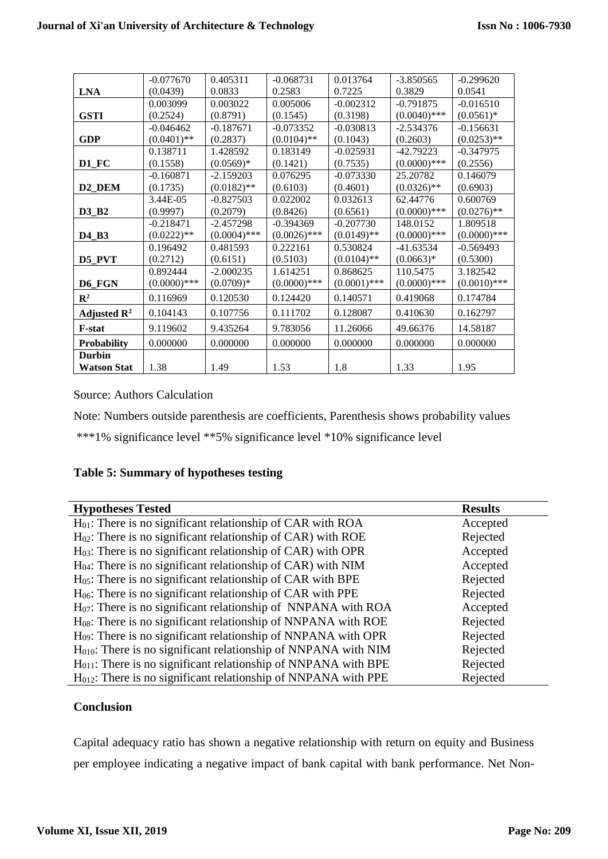|                                | $-0.077670$    | 0.405311       | $-0.068731$    | 0.013764       | $-3.850565$    | $-0.299620$    |
|--------------------------------|----------------|----------------|----------------|----------------|----------------|----------------|
| <b>LNA</b>                     | (0.0439)       | 0.0833         | 0.2583         | 0.7225         | 0.3829         | 0.0541         |
|                                | 0.003099       | 0.003022       | 0.005006       | $-0.002312$    | $-0.791875$    | $-0.016510$    |
| <b>GSTI</b>                    | (0.2524)       | (0.8791)       | (0.1545)       | (0.3198)       | $(0.0040)$ *** | $(0.0561)^*$   |
|                                | $-0.046462$    | $-0.187671$    | $-0.073352$    | $-0.030813$    | $-2.534376$    | $-0.156631$    |
| <b>GDP</b>                     | $(0.0401)$ **  | (0.2837)       | $(0.0104)$ **  | (0.1043)       | (0.2603)       | $(0.0253)$ **  |
|                                | 0.138711       | 1.428592       | 0.183149       | $-0.025931$    | $-42.79223$    | $-0.347975$    |
| $D1$ <sub>_FC</sub>            | (0.1558)       | $(0.0569)*$    | (0.1421)       | (0.7535)       | $(0.0000)$ *** | (0.2556)       |
|                                | $-0.160871$    | $-2.159203$    | 0.076295       | $-0.073330$    | 25.20782       | 0.146079       |
| D <sub>2_DEM</sub>             | (0.1735)       | $(0.0182)$ **  | (0.6103)       | (0.4601)       | $(0.0326)$ **  | (0.6903)       |
|                                | 3.44E-05       | $-0.827503$    | 0.022002       | 0.032613       | 62.44776       | 0.600769       |
| $D3_B2$                        | (0.9997)       | (0.2079)       | (0.8426)       | (0.6561)       | $(0.0000)$ *** | $(0.0276)$ **  |
|                                | $-0.218471$    | $-2.457298$    | $-0.394369$    | $-0.207730$    | 148.0152       | 1.809518       |
| D <sub>4</sub> _B <sub>3</sub> | $(0.0222)**$   | $(0.0004)$ *** | $(0.0026)$ *** | $(0.0149)$ **  | $(0.0000)$ *** | $(0.0000)$ *** |
|                                | 0.196492       | 0.481593       | 0.222161       | 0.530824       | $-41.63534$    | $-0.569493$    |
| D5_PVT                         | (0.2712)       | (0.6151)       | (0.5103)       | $(0.0104)$ **  | $(0.0663)*$    | (0.5300)       |
|                                | 0.892444       | $-2.000235$    | 1.614251       | 0.868625       | 110.5475       | 3.182542       |
| D6_FGN                         | $(0.0000)$ *** | $(0.0709)*$    | $(0.0000)$ *** | $(0.0001)$ *** | $(0.0000)$ *** | $(0.0010)$ *** |
| $\mathbb{R}^2$                 | 0.116969       | 0.120530       | 0.124420       | 0.140571       | 0.419068       | 0.174784       |
| Adjusted $\mathbb{R}^2$        | 0.104143       | 0.107756       | 0.111702       | 0.128087       | 0.410630       | 0.162797       |
| <b>F-stat</b>                  | 9.119602       | 9.435264       | 9.783056       | 11.26066       | 49.66376       | 14.58187       |
| Probability                    | 0.000000       | 0.000000       | 0.000000       | 0.000000       | 0.000000       | 0.000000       |
| <b>Durbin</b>                  |                |                |                |                |                |                |
| <b>Watson Stat</b>             | 1.38           | 1.49           | 1.53           | 1.8            | 1.33           | 1.95           |

Source: Authors Calculation

Note: Numbers outside parenthesis are coefficients, Parenthesis shows probability values

\*\*\*1% significance level \*\*5% significance level \*10% significance level

#### **Table 5: Summary of hypotheses testing**

| <b>Hypotheses Tested</b>                                         | <b>Results</b> |
|------------------------------------------------------------------|----------------|
| $H01$ : There is no significant relationship of CAR with ROA     | Accepted       |
| $H02$ : There is no significant relationship of CAR) with ROE    | Rejected       |
| $H03$ : There is no significant relationship of CAR) with OPR    | Accepted       |
| $H04$ : There is no significant relationship of CAR) with NIM    | Accepted       |
| $H_{05}$ : There is no significant relationship of CAR with BPE  | Rejected       |
| $H06$ : There is no significant relationship of CAR with PPE     | Rejected       |
| $H07$ : There is no significant relationship of NNPANA with ROA  | Accepted       |
| $H08$ : There is no significant relationship of NNPANA with ROE  | Rejected       |
| $H09$ : There is no significant relationship of NNPANA with OPR  | Rejected       |
| $H010$ : There is no significant relationship of NNPANA with NIM | Rejected       |
| $H011$ : There is no significant relationship of NNPANA with BPE | Rejected       |
| $H012$ : There is no significant relationship of NNPANA with PPE | Rejected       |

# **Conclusion**

Capital adequacy ratio has shown a negative relationship with return on equity and Business per employee indicating a negative impact of bank capital with bank performance. Net Non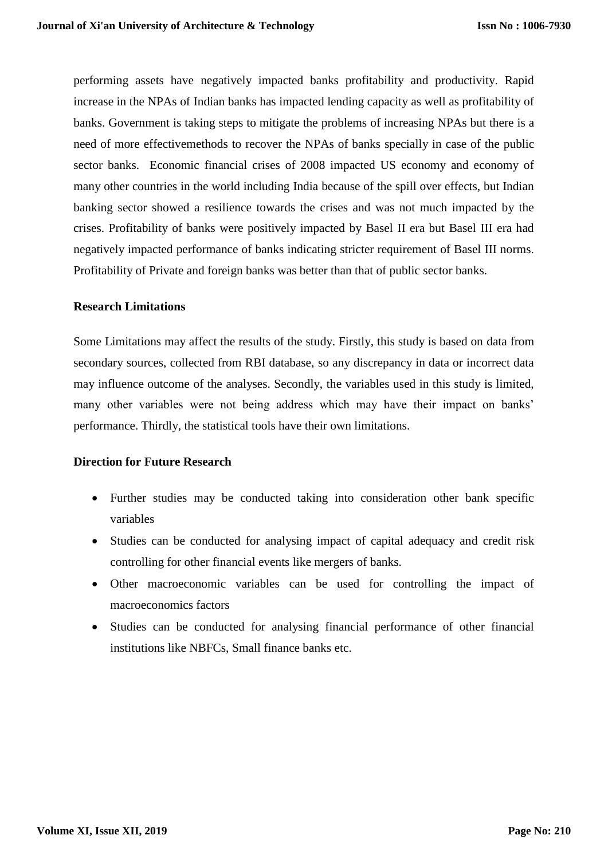performing assets have negatively impacted banks profitability and productivity. Rapid increase in the NPAs of Indian banks has impacted lending capacity as well as profitability of banks. Government is taking steps to mitigate the problems of increasing NPAs but there is a need of more effectivemethods to recover the NPAs of banks specially in case of the public sector banks. Economic financial crises of 2008 impacted US economy and economy of many other countries in the world including India because of the spill over effects, but Indian banking sector showed a resilience towards the crises and was not much impacted by the crises. Profitability of banks were positively impacted by Basel II era but Basel III era had negatively impacted performance of banks indicating stricter requirement of Basel III norms. Profitability of Private and foreign banks was better than that of public sector banks.

# **Research Limitations**

Some Limitations may affect the results of the study. Firstly, this study is based on data from secondary sources, collected from RBI database, so any discrepancy in data or incorrect data may influence outcome of the analyses. Secondly, the variables used in this study is limited, many other variables were not being address which may have their impact on banks' performance. Thirdly, the statistical tools have their own limitations.

#### **Direction for Future Research**

- Further studies may be conducted taking into consideration other bank specific variables
- Studies can be conducted for analysing impact of capital adequacy and credit risk controlling for other financial events like mergers of banks.
- Other macroeconomic variables can be used for controlling the impact of macroeconomics factors
- Studies can be conducted for analysing financial performance of other financial institutions like NBFCs, Small finance banks etc.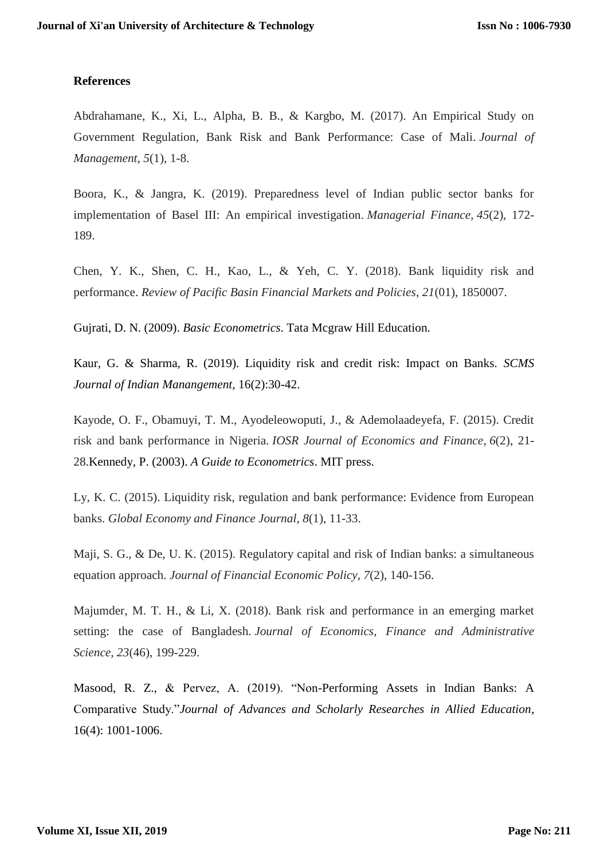# **References**

Abdrahamane, K., Xi, L., Alpha, B. B., & Kargbo, M. (2017). An Empirical Study on Government Regulation, Bank Risk and Bank Performance: Case of Mali. *Journal of Management*, *5*(1), 1-8.

Boora, K., & Jangra, K. (2019). Preparedness level of Indian public sector banks for implementation of Basel III: An empirical investigation. *Managerial Finance*, *45*(2), 172- 189.

Chen, Y. K., Shen, C. H., Kao, L., & Yeh, C. Y. (2018). Bank liquidity risk and performance. *Review of Pacific Basin Financial Markets and Policies*, *21*(01), 1850007.

Gujrati, D. N. (2009). *Basic Econometrics*. Tata Mcgraw Hill Education.

Kaur, G. & Sharma, R. (2019). Liquidity risk and credit risk: Impact on Banks. *SCMS Journal of Indian Manangement,* 16(2):30-42.

Kayode, O. F., Obamuyi, T. M., Ayodeleowoputi, J., & Ademolaadeyefa, F. (2015). Credit risk and bank performance in Nigeria. *IOSR Journal of Economics and Finance*, *6*(2), 21- 28.Kennedy, P. (2003). *A Guide to Econometrics*. MIT press.

Ly, K. C. (2015). Liquidity risk, regulation and bank performance: Evidence from European banks. *Global Economy and Finance Journal*, *8*(1), 11-33.

Maji, S. G., & De, U. K. (2015). Regulatory capital and risk of Indian banks: a simultaneous equation approach. *Journal of Financial Economic Policy*, *7*(2), 140-156.

Majumder, M. T. H., & Li, X. (2018). Bank risk and performance in an emerging market setting: the case of Bangladesh. *Journal of Economics, Finance and Administrative Science*, *23*(46), 199-229.

Masood, R. Z., & Pervez, A. (2019). "Non-Performing Assets in Indian Banks: A Comparative Study."*Journal of Advances and Scholarly Researches in Allied Education*, 16(4): 1001-1006.